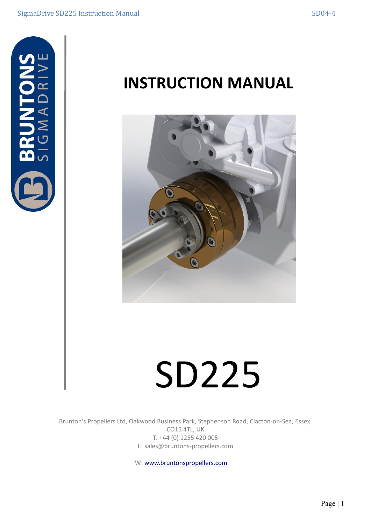

# **INSTRUCTION MANUAL**



# SD225

Brunton's Propellers Ltd, Oakwood Business Park, Stephenson Road, Clacton-on-Sea, Essex, CO15 4TL, UK T: +44 (0) 1255 420 005 E: sales@bruntons-propellers.com

W[: www.bruntonspropellers.com](http://www.bruntons-propellers.com/)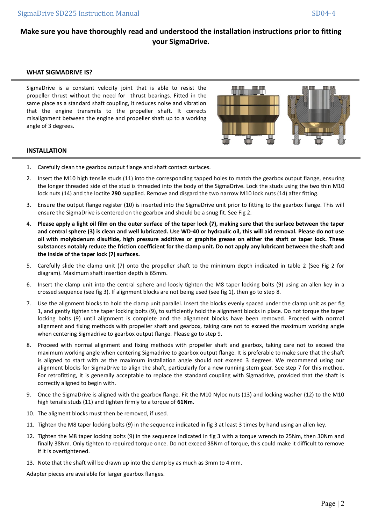# **Make sure you have thoroughly read and understood the installation instructions prior to fitting your SigmaDrive.**

# **WHAT SIGMADRIVE IS?**

SigmaDrive is a constant velocity joint that is able to resist the propeller thrust without the need for thrust bearings. Fitted in the same place as a standard shaft coupling, it reduces noise and vibration that the engine transmits to the propeller shaft. It corrects misalignment between the engine and propeller shaft up to a working angle of 3 degrees.



# **INSTALLATION**

- 1. Carefully clean the gearbox output flange and shaft contact surfaces.
- 2. Insert the M10 high tensile studs (11) into the corresponding tapped holes to match the gearbox output flange, ensuring the longer threaded side of the stud is threaded into the body of the SigmaDrive. Lock the studs using the two thin M10 lock nuts (14) and the loctite **290** supplied. Remove and disgard the two narrow M10 lock nuts (14) after fitting.
- 3. Ensure the output flange register (10) is inserted into the SigmaDrive unit prior to fitting to the gearbox flange. This will ensure the SigmaDrive is centered on the gearbox and should be a snug fit. See Fig 2.
- 4. **Please apply a light oil film on the outer surface of the taper lock (7), making sure that the surface between the taper and central sphere (3) is clean and well lubricated. Use WD-40 or hydraulic oil, this will aid removal. Please do not use oil with molybdenum disulfide, high pressure additives or graphite grease on either the shaft or taper lock. These substances notably reduce the friction coefficient for the clamp unit. Do not apply any lubricant between the shaft and the inside of the taper lock (7) surfaces.**
- 5. Carefully slide the clamp unit (7) onto the propeller shaft to the minimum depth indicated in table 2 (See Fig 2 for diagram). Maximum shaft insertion depth is 65mm.
- 6. Insert the clamp unit into the central sphere and loosly tighten the M8 taper locking bolts (9) using an allen key in a crossed sequence (see fig 3). If alignment blocks are not being used (see fig 1), then go to step 8.
- 7. Use the alignment blocks to hold the clamp unit parallel. Insert the blocks evenly spaced under the clamp unit as per fig 1, and gently tighten the taper locking bolts (9), to sufficiently hold the alignment blocks in place. Do not torque the taper locking bolts (9) until alignment is complete and the alignment blocks have been removed. Proceed with normal alignment and fixing methods with propeller shaft and gearbox, taking care not to exceed the maximum working angle when centering Sigmadrive to gearbox output flange. Please go to step 9.
- 8. Proceed with normal alignment and fixing methods with propeller shaft and gearbox, taking care not to exceed the maximum working angle when centering Sigmadrive to gearbox output flange. It is preferable to make sure that the shaft is aligned to start with as the maximum installation angle should not exceed 3 degrees. We recommend using our alignment blocks for SigmaDrive to align the shaft, particularly for a new running stern gear. See step 7 for this method. For retrofitting, it is generally acceptable to replace the standard coupling with Sigmadrive, provided that the shaft is correctly aligned to begin with.
- 9. Once the SigmaDrive is aligned with the gearbox flange. Fit the M10 Nyloc nuts (13) and locking washer (12) to the M10 high tensile studs (11) and tighten firmly to a torque of **61Nm**.
- 10. The aligment blocks must then be removed, if used.
- 11. Tighten the M8 taper locking bolts (9) in the sequence indicated in fig 3 at least 3 times by hand using an allen key.
- 12. Tighten the M8 taper locking bolts (9) in the sequence indicated in fig 3 with a torque wrench to 25Nm, then 30Nm and finally 38Nm. Only tighten to required torque once. Do not exceed 38Nm of torque, this could make it difficult to remove if it is overtightened.
- 13. Note that the shaft will be drawn up into the clamp by as much as 3mm to 4 mm.

Adapter pieces are available for larger gearbox flanges.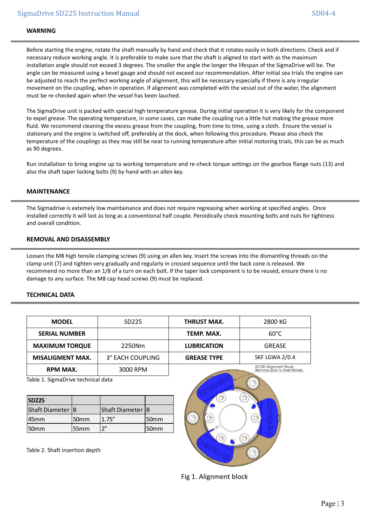# **WARNING**

Before starting the engine, rotate the shaft manually by hand and check that it rotates easily in both directions. Check and if necessary reduce working angle. It is preferable to make sure that the shaft is aligned to start with as the maximum installation angle should not exceed 3 degrees. The smaller the angle the longer the lifespan of the SigmaDrive will be. The angle can be measured using a bevel gauge and should not exceed our recommendation. After initial sea trials the engine can be adjusted to reach the perfect working angle of alignment, this will be necessary especially if there is any irregular movement on the coupling, when in operation. If alignment was completed with the vessel out of the water, the alignment must be re-checked again when the vessel has been lauched.

The SigmaDrive unit is packed with special high temperature grease. During initial operation it is very likely for the component to expel grease. The operating temperature, in some cases, can make the coupling run a little hot making the grease more fluid. We recommend cleaning the excess grease from the coupling, from time to time, using a cloth. Ensure the vessel is stationary and the engine is switched off, preferably at the dock, when following this procedure. Please also check the temperature of the couplings as they may still be near to running temperature after initial motoring trials, this can be as much as 90 degrees.

Run installation to bring engine up to working temperature and re-check torque settings on the gearbox flange nuts (13) and also the shaft taper locking bolts (9) by hand with an allen key.

# **MAINTENANCE**

The Sigmadrive is extemely low maintainance and does not require regreasing when working at specified angles. Once installed correctly it will last as long as a conventional half couple. Peroidically check mounting bolts and nuts for tightness and overall condition.

# **REMOVAL AND DISASSEMBLY**

Loosen the M8 high tensile clamping screws (9) using an allen key. Insert the screws into the dismantling threads on the clamp unit (7) and tighten very gradually and regularly in crossed sequence until the back cone is released. We recommend no more than an 1/8 of a turn on each bolt. If the taper lock component is to be reused, ensure there is no damage to any surface. The M8 cap head screws (9) must be replaced.

# **TECHNICAL DATA**

| <b>MODEL</b>            | SD <sub>225</sub> | <b>THRUST MAX.</b> | 2800 KG                                                  |
|-------------------------|-------------------|--------------------|----------------------------------------------------------|
| <b>SERIAL NUMBER</b>    |                   | TEMP. MAX.         | $60^{\circ}$ C                                           |
| <b>MAXIMUM TORQUE</b>   | 2250Nm            | <b>LUBRICATION</b> | <b>GREASE</b>                                            |
| <b>MISALIGMENT MAX.</b> | 3° EACH COUPLING  | <b>GREASE TYPE</b> | SKF LGWA 2/0.4                                           |
| RPM MAX.                | 3000 RPM          |                    | SD100 Alignment Block.<br>Remove prior to final fitment. |

Table 1. SigmaDrive technical data

| <b>SD225</b>     |                  |                    |      |
|------------------|------------------|--------------------|------|
| Shaft Diameter B |                  | lShaft Diameter IB |      |
| l45mm            | ا 50mm           | 1.75"              | 50mm |
| 50mm             | 55 <sub>mm</sub> | ייר                | 50mm |

Table 2. Shaft insertion depth



Fig 1. Alignment block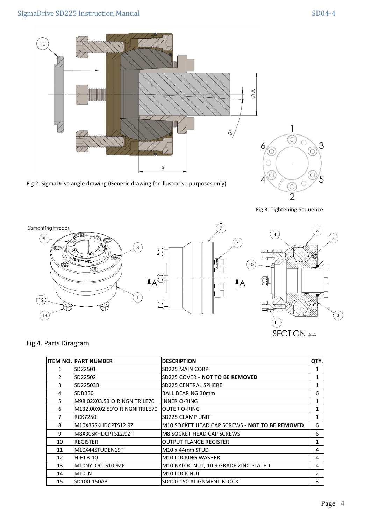

Fig 2. SigmaDrive angle drawing (Generic drawing for illustrative purposes only)







SECTION A-A

# Fig 4. Parts Diragram

|               | <b>ITEM NO. PART NUMBER</b>   | <b>DESCRIPTION</b>                             | QTY.           |
|---------------|-------------------------------|------------------------------------------------|----------------|
|               | SD22501                       | SD225 MAIN CORP                                | 1              |
| $\mathcal{P}$ | SD22502                       | SD225 COVER - NOT TO BE REMOVED                | 1              |
| 3             | SD22503B                      | <b>SD225 CENTRAL SPHERE</b>                    | 1              |
| 4             | SDBB30                        | <b>BALL BEARING 30mm</b>                       | 6              |
| 5             | M98.02X03.53'O'RINGNITRILE70  | linner O-Ring                                  | 1              |
| 6             | M132.00X02.50'O'RINGNITRILE70 | IOUTER O-RING                                  | 1              |
| 7             | <b>RCK7250</b>                | <b>SD225 CLAMP UNIT</b>                        | 1              |
| 8             | M10X35SKHDCPTS12.9Z           | M10 SOCKET HEAD CAP SCREWS - NOT TO BE REMOVED | 6              |
| 9             | M8X30SKHDCPTS12.9ZP           | M8 SOCKET HEAD CAP SCREWS                      | 6              |
| 10            | <b>REGISTER</b>               | <b>OUTPUT FLANGE REGISTER</b>                  | 1              |
| 11            | M10X44STUDEN19T               | M <sub>10</sub> x 44mm STUD                    | 4              |
| 12            | $H-HLB-10$                    | M10 LOCKING WASHER                             | 4              |
| 13            | M10NYLOCTS10.9ZP              | M10 NYLOC NUT, 10.9 GRADE ZINC PLATED          | 4              |
| 14            | M10LN                         | M10 LOCK NUT                                   | $\overline{2}$ |
| 15            | SD100-150AB                   | SD100-150 ALIGNMENT BLOCK                      | 3              |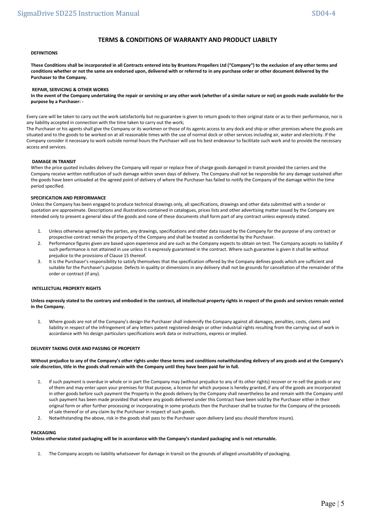### **TERMS & CONDITIONS OF WARRANTY AND PRODUCT LIABILTY**

#### **DEFINITIONS**

**These Conditions shall be incorporated in all Contracts entered into by Bruntons Propellers Ltd ("Company") to the exclusion of any other terms and conditions whether or not the same are endorsed upon, delivered with or referred to in any purchase order or other document delivered by the Purchaser to the Company.**

#### **REPAIR, SERVICING & OTHER WORKS**

**In the event of the Company undertaking the repair or servicing or any other work (whether of a similar nature or not) on goods made available for the purpose by a Purchaser: -**

Every care will be taken to carry out the work satisfactorily but no guarantee is given to return goods to their original state or as to their performance, nor is any liability accepted in connection with the time taken to carry out the work;

The Purchaser or his agents shall give the Company or its workmen or those of its agents access to any dock and ship or other premises where the goods are situated and to the goods to be worked on at all reasonable times with the use of normal dock or other services including air, water and electricity. If the Company consider it necessary to work outside normal hours the Purchaser will use his best endeavour to facilitate such work and to provide the necessary access and services.

#### **DAMAGE IN TRANSIT**

When the price quoted includes delivery the Company will repair or replace free of charge goods damaged in transit provided the carriers and the Company receive written notification of such damage within seven days of delivery. The Company shall not be responsible for any damage sustained after the goods have been unloaded at the agreed point of delivery of where the Purchaser has failed to notify the Company of the damage within the time period specified.

#### **SPECIFICATION AND PERFORMANCE**

Unless the Company has been engaged to produce technical drawings only, all specifications, drawings and other data submitted with a tender or quotation are approximate. Descriptions and illustrations contained in catalogues, prices lists and other advertising matter issued by the Company are intended only to present a general idea of the goods and none of these documents shall form part of any contract unless expressly stated.

- 1. Unless otherwise agreed by the parties, any drawings, specifications and other data issued by the Company for the purpose of any contract or prospective contract remain the property of the Company and shall be treated as confidential by the Purchaser.
- 2. Performance figures given are based upon experience and are such as the Company expects to obtain on test. The Company accepts no liability if such performance is not attained in use unless it is expressly guaranteed in the contract. Where such guarantee is given it shall be without prejudice to the provisions of Clause 15 thereof.
- 3. It is the Purchaser's responsibility to satisfy themselves that the specification offered by the Company defines goods which are sufficient and suitable for the Purchaser's purpose. Defects in quality or dimensions in any delivery shall not be grounds for cancellation of the remainder of the order or contract (if any).

#### **INTELLECTUAL PROPERTY RIGHTS**

#### **Unless expressly stated to the contrary and embodied in the contract, all intellectual property rights in respect of the goods and services remain vested in the Company.**

1. Where goods are not of the Company's design the Purchaser shall indemnify the Company against all damages, penalties, costs, claims and liability in respect of the infringement of any letters patent registered design or other industrial rights resulting from the carrying out of work in accordance with his design particulars specifications work data or instructions, express or implied.

#### **DELIVERY TAKING OVER AND PASSING OF PROPERTY**

**Without prejudice to any of the Company's other rights under these terms and conditions notwithstanding delivery of any goods and at the Company's sole discretion, title in the goods shall remain with the Company until they have been paid for in full.**

- 1. If such payment is overdue in whole or in part the Company may (without prejudice to any of its other rights) recover or re-sell the goods or any of them and may enter upon your premises for that purpose, a licence for which purpose is hereby granted, if any of the goods are incorporated in other goods before such payment the Property in the goods delivery by the Company shall nevertheless be and remain with the Company until such payment has been made provided that where any goods delivered under this Contract have been sold by the Purchaser either in their original form or after further processing or incorporating in some products then the Purchaser shall be trustee for the Company of the proceeds of sale thereof or of any claim by the Purchaser in respect of such goods.
- 2. Notwithstanding the above, risk in the goods shall pass to the Purchaser upon delivery (and you should therefore insure).

#### **PACKAGING**

**Unless otherwise stated packaging will be in accordance with the Company's standard packaging and is not returnable.**

1. The Company accepts no liability whatsoever for damage in transit on the grounds of alleged unsuitability of packaging.